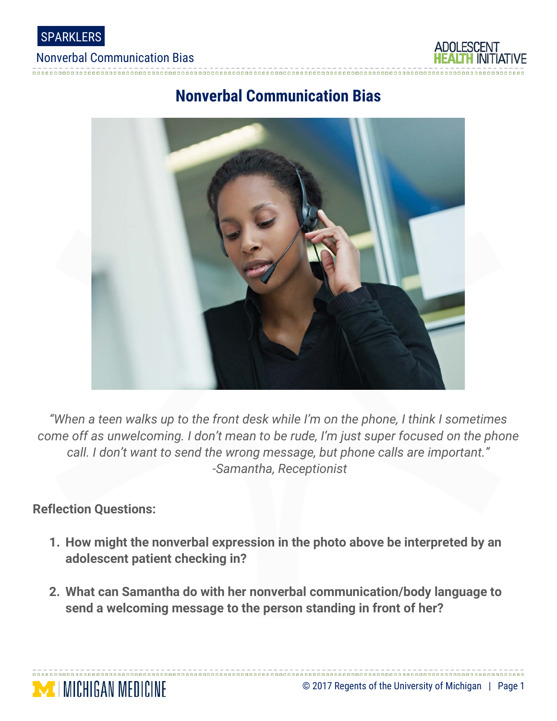

#### Nonverbal Communication Bias



# **Nonverbal Communication Bias**



*"When a teen walks up to the front desk while I'm on the phone, I think I sometimes come off as unwelcoming. I don't mean to be rude, I'm just super focused on the phone call. I don't want to send the wrong message, but phone calls are important." -Samantha, Receptionist*

### **Reflection Questions:**

**MICHIGAN MEDICINE** 

- **1. How might the nonverbal expression in the photo above be interpreted by an adolescent patient checking in?**
- **2. What can Samantha do with her nonverbal communication/body language to send a welcoming message to the person standing in front of her?**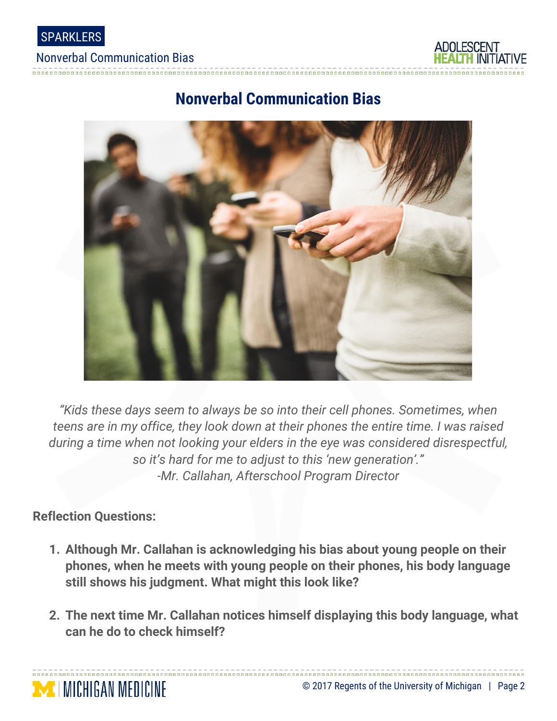

#### Nonverbal Communication Bias



# **Nonverbal Communication Bias**



*"Kids these days seem to always be so into their cell phones. Sometimes, when teens are in my office, they look down at their phones the entire time. I was raised during a time when not looking your elders in the eye was considered disrespectful, so it's hard for me to adjust to this 'new generation'." -Mr. Callahan, Afterschool Program Director*

### **Reflection Questions:**

**MICHIGAN MEDICINE** 

- **1. Although Mr. Callahan is acknowledging his bias about young people on their phones, when he meets with young people on their phones, his body language still shows his judgment. What might this look like?**
- **2. The next time Mr. Callahan notices himself displaying this body language, what can he do to check himself?**